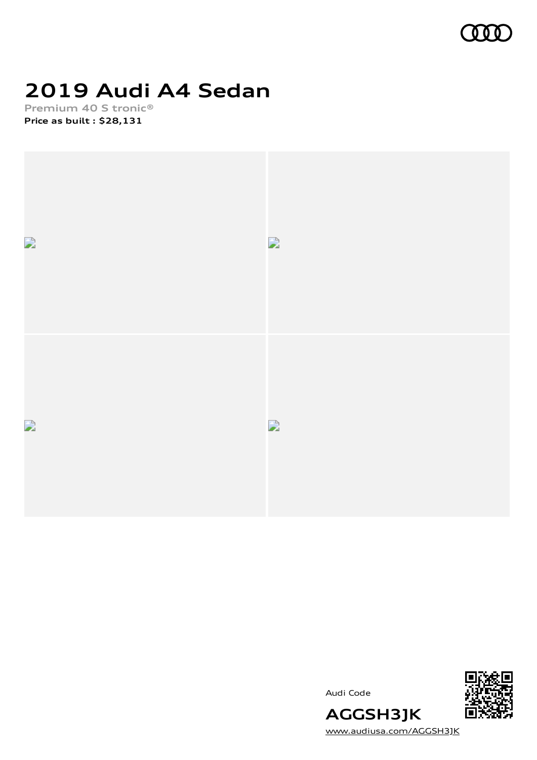

### **2019 Audi A4 Sedan**

**Premium 40 S tronic® Price as built [:](#page-10-0) \$28,131**



Audi Code



[www.audiusa.com/AGGSH3JK](https://www.audiusa.com/AGGSH3JK)

**AGGSH3JK**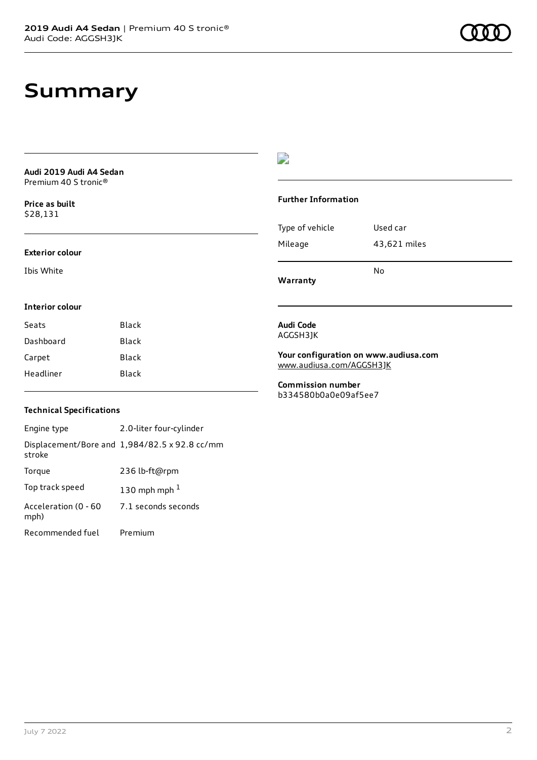### **Summary**

|                                                             |              | 2                                                |                                       |
|-------------------------------------------------------------|--------------|--------------------------------------------------|---------------------------------------|
| Audi 2019 Audi A4 Sedan<br>Premium 40 S tronic <sup>®</sup> |              |                                                  |                                       |
| Price as built<br>\$28,131                                  |              | <b>Further Information</b>                       |                                       |
|                                                             |              | Type of vehicle                                  | Used car                              |
| <b>Exterior colour</b>                                      |              | Mileage                                          | 43,621 miles                          |
| Ibis White                                                  |              | Warranty                                         | No                                    |
| <b>Interior colour</b>                                      |              |                                                  |                                       |
| Seats                                                       | <b>Black</b> | Audi Code                                        |                                       |
| Dashboard                                                   | Black        | AGGSH3JK                                         |                                       |
| Carpet                                                      | <b>Black</b> |                                                  | Your configuration on www.audiusa.com |
| Headliner                                                   | Black        | www.audiusa.com/AGGSH3JK                         |                                       |
|                                                             |              | <b>Commission number</b><br>b334580b0a0e09af5ee7 |                                       |

#### **Technical Specifications**

| Engine type                  | 2.0-liter four-cylinder                       |
|------------------------------|-----------------------------------------------|
| stroke                       | Displacement/Bore and 1,984/82.5 x 92.8 cc/mm |
| Torque                       | 236 lb-ft@rpm                                 |
| Top track speed              | 130 mph mph $1$                               |
| Acceleration (0 - 60<br>mph) | 7.1 seconds seconds                           |
| Recommended fuel             | Premium                                       |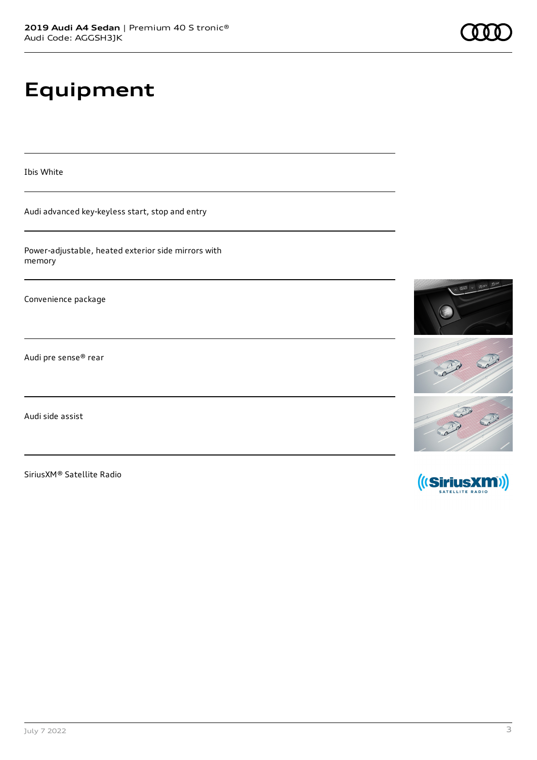## **Equipment**

Ibis White

Audi advanced key-keyless start, stop and entry

Power-adjustable, heated exterior side mirrors with memory

Convenience package

Audi pre sense® rear

Audi side assist

SiriusXM® Satellite Radio



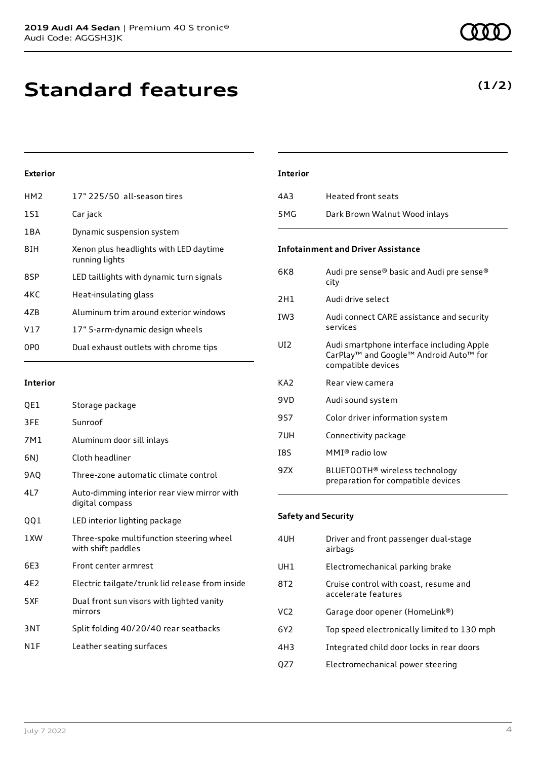**Standard features**

#### **Exterior**

| HM <sub>2</sub> | 17" 225/50 all-season tires                              |
|-----------------|----------------------------------------------------------|
| 1S1             | Car jack                                                 |
| 1 B A           | Dynamic suspension system                                |
| 8IH             | Xenon plus headlights with LED daytime<br>running lights |
| 8SP             | LED taillights with dynamic turn signals                 |
| 4KC             | Heat-insulating glass                                    |
| 47B             | Aluminum trim around exterior windows                    |
| V17             | 17" 5-arm-dynamic design wheels                          |
| 0PO             | Dual exhaust outlets with chrome tips                    |

#### **Interior**

| QE1 | Storage package                                                |
|-----|----------------------------------------------------------------|
| 3FE | Sunroof                                                        |
| 7M1 | Aluminum door sill inlays                                      |
| 6N) | Cloth headliner                                                |
| 9AQ | Three-zone automatic climate control                           |
| 4L7 | Auto-dimming interior rear view mirror with<br>digital compass |
| QQ1 | LED interior lighting package                                  |
| 1XW | Three-spoke multifunction steering wheel<br>with shift paddles |
|     |                                                                |
| 6E3 | Front center armrest                                           |
| 4E2 | Electric tailgate/trunk lid release from inside                |
| 5XF | Dual front sun visors with lighted vanity<br>mirrors           |
| 3NT | Split folding 40/20/40 rear seatbacks                          |
| N1F | Leather seating surfaces                                       |

# **Interior** 4A3 Heated front seats 5MG Dark Brown Walnut Wood inlays **Infotainment and Driver Assistance**

| 6K8             | Audi pre sense® basic and Audi pre sense®<br>city                                                                     |
|-----------------|-----------------------------------------------------------------------------------------------------------------------|
| 2H1             | Audi drive select                                                                                                     |
| IW3             | Audi connect CARE assistance and security<br>services                                                                 |
| UI2             | Audi smartphone interface including Apple<br>CarPlay <sup>™</sup> and Google™ Android Auto™ for<br>compatible devices |
| KA <sub>2</sub> | Rear view camera                                                                                                      |
| 9VD             | Audi sound system                                                                                                     |
| 9S7             | Color driver information system                                                                                       |
| 7UH             | Connectivity package                                                                                                  |
| I8S             | MMI® radio low                                                                                                        |
| 9ZX             | BLUETOOTH <sup>®</sup> wireless technology<br>preparation for compatible devices                                      |

#### **Safety and Security**

| 4UH             | Driver and front passenger dual-stage<br>airbags             |
|-----------------|--------------------------------------------------------------|
| UH1             | Electromechanical parking brake                              |
| 8T2             | Cruise control with coast, resume and<br>accelerate features |
| VC <sub>2</sub> | Garage door opener (HomeLink®)                               |
| 6Y2             | Top speed electronically limited to 130 mph                  |
| 4H3             | Integrated child door locks in rear doors                    |
|                 | Electromechanical power steering                             |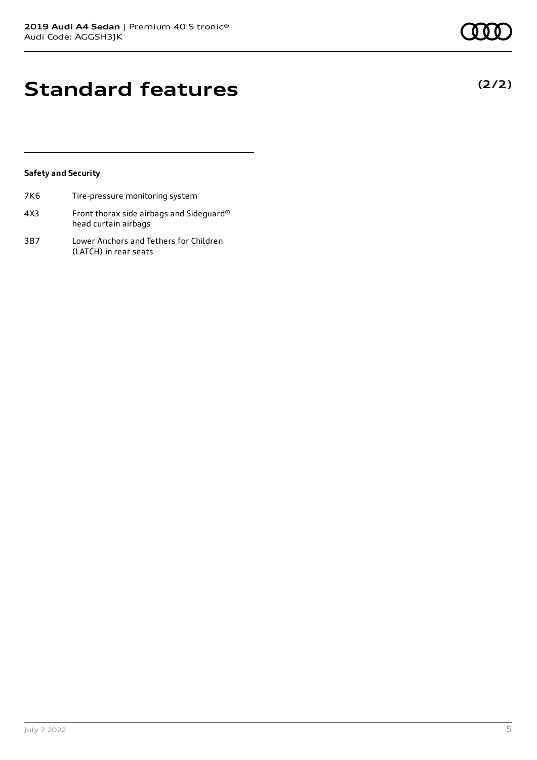#### **Safety and Security**

- 7K6 Tire-pressure monitoring system 4X3 Front thorax side airbags and Sideguard® head curtain airbags
- 3B7 Lower Anchors and Tethers for Children (LATCH) in rear seats

### **(2/2)**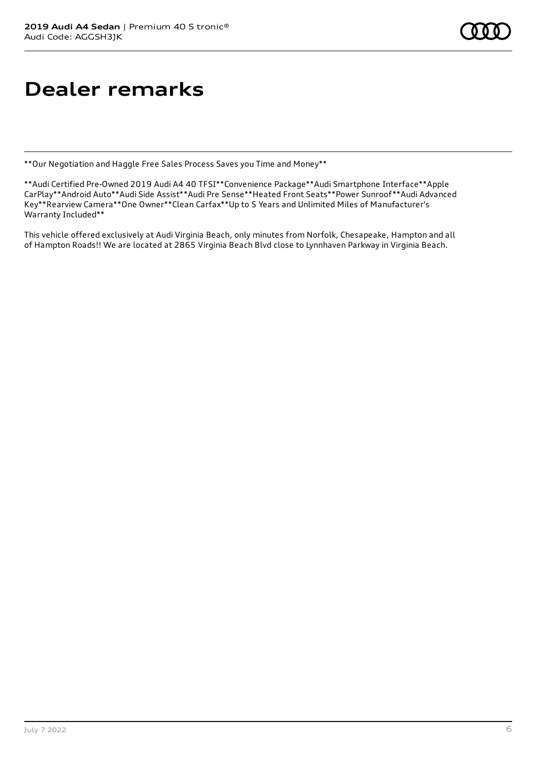### **Dealer remarks**

\*\*Our Negotiation and Haggle Free Sales Process Saves you Time and Money\*\*

\*\*Audi Certified Pre-Owned 2019 Audi A4 40 TFSI\*\*Convenience Package\*\*Audi Smartphone Interface\*\*Apple CarPlay\*\*Android Auto\*\*Audi Side Assist\*\*Audi Pre Sense\*\*Heated Front Seats\*\*Power Sunroof\*\*Audi Advanced Key\*\*Rearview Camera\*\*One Owner\*\*Clean Carfax\*\*Up to 5 Years and Unlimited Miles of Manufacturer's Warranty Included\*\*

This vehicle offered exclusively at Audi Virginia Beach, only minutes from Norfolk, Chesapeake, Hampton and all of Hampton Roads!! We are located at 2865 Virginia Beach Blvd close to Lynnhaven Parkway in Virginia Beach.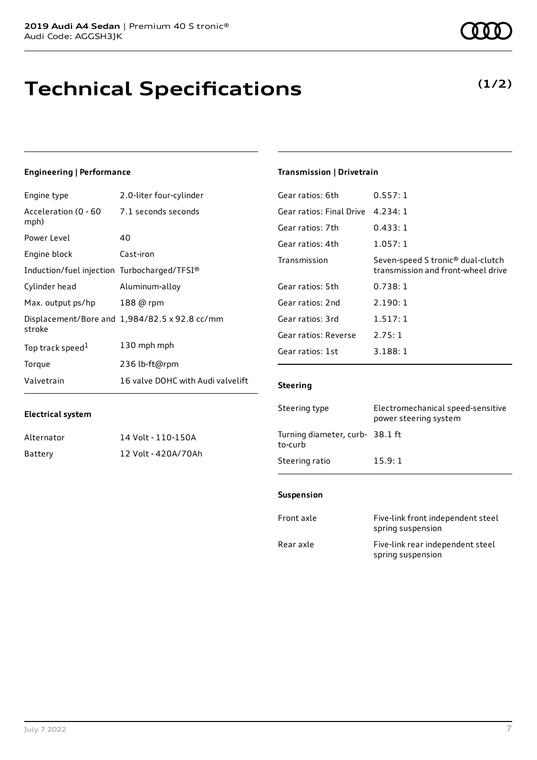### **Technical Specifications**

#### **Engineering | Performance**

**Electrical system**

| Engine type                                 | 2.0-liter four-cylinder                       |
|---------------------------------------------|-----------------------------------------------|
| Acceleration (0 - 60<br>mph)                | 7.1 seconds seconds                           |
| Power Level                                 | 40                                            |
| Engine block                                | Cast-iron                                     |
| Induction/fuel injection Turbocharged/TFSI® |                                               |
| Cylinder head                               | Aluminum-alloy                                |
| Max. output ps/hp                           | 188 @ rpm                                     |
| stroke                                      | Displacement/Bore and 1,984/82.5 x 92.8 cc/mm |
| Top track speed <sup>1</sup>                | 130 mph mph                                   |
| Torque                                      | 236 lb-ft@rpm                                 |
| Valvetrain                                  | 16 valve DOHC with Audi valvelift             |

Alternator 14 Volt - 110-150A Battery 12 Volt - 420A/70Ah

#### **Transmission | Drivetrain**

| Gear ratios: 6th                  | 0.557:1                                                                             |
|-----------------------------------|-------------------------------------------------------------------------------------|
| Gear ratios: Final Drive 4.234: 1 |                                                                                     |
| Gear ratios: 7th                  | 0.433:1                                                                             |
| Gear ratios: 4th                  | 1.057:1                                                                             |
| Transmission                      | Seven-speed S tronic <sup>®</sup> dual-clutch<br>transmission and front-wheel drive |
| Gear ratios: 5th                  | 0.738:1                                                                             |
| Gear ratios: 2nd                  | 2.190:1                                                                             |
| Gear ratios: 3rd                  | 1.517:1                                                                             |
| Gear ratios: Reverse              | 2.75:1                                                                              |
| Gear ratios: 1st                  | 3.188:1                                                                             |
|                                   |                                                                                     |

#### **Steering**

| Steering type                             | Electromechanical speed-sensitive<br>power steering system |
|-------------------------------------------|------------------------------------------------------------|
| Turning diameter, curb-38.1 ft<br>to-curb |                                                            |
| Steering ratio                            | 15.9:1                                                     |

#### **Suspension**

| Front axle | Five-link front independent steel<br>spring suspension |
|------------|--------------------------------------------------------|
| Rear axle  | Five-link rear independent steel<br>spring suspension  |

**(1/2)**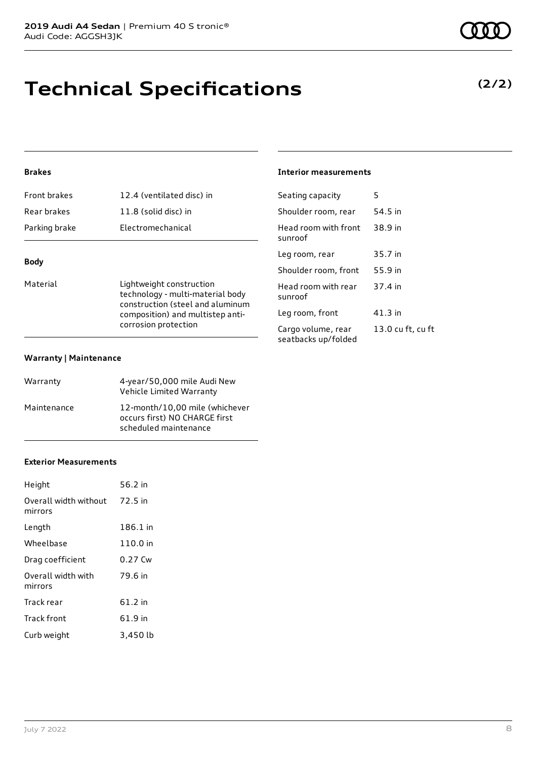### **Technical Specifications**

#### **Brakes**

| Front brakes  | 12.4 (ventilated disc) in |
|---------------|---------------------------|
| Rear brakes   | 11.8 (solid disc) in      |
| Parking brake | Electromechanical         |
|               |                           |

#### **Body**

Material **Material** Lightweight construction technology - multi-material body construction (steel and aluminum composition) and multistep anticorrosion protection

#### **Warranty | Maintenance**

| Warranty    | 4-year/50,000 mile Audi New<br>Vehicle Limited Warranty                                  |
|-------------|------------------------------------------------------------------------------------------|
| Maintenance | 12-month/10,00 mile (whichever<br>occurs first) NO CHARGE first<br>scheduled maintenance |

#### **Exterior Measurements**

| Height                           | 56.2 in  |
|----------------------------------|----------|
| Overall width without<br>mirrors | 72.5 in  |
| Length                           | 186.1 in |
| Wheelbase                        | 110.0 in |
| Drag coefficient                 | 0.27 Cw  |
| Overall width with<br>mirrors    | 79.6 in  |
| Track rear                       | 61.2 in  |
| Track front                      | 61.9 in  |
| Curb weight                      | 3,450 lb |

#### **Interior measurements**

| Seating capacity                          | 5                 |
|-------------------------------------------|-------------------|
| Shoulder room, rear                       | 54.5 in           |
| Head room with front<br>sunroof           | 38.9 in           |
| Leg room, rear                            | 35.7 in           |
| Shoulder room, front                      | 55.9 in           |
| Head room with rear<br>sunroof            | 37.4 in           |
| Leg room, front                           | 41.3 in           |
| Cargo volume, rear<br>seatbacks up/folded | 13.0 cu ft, cu ft |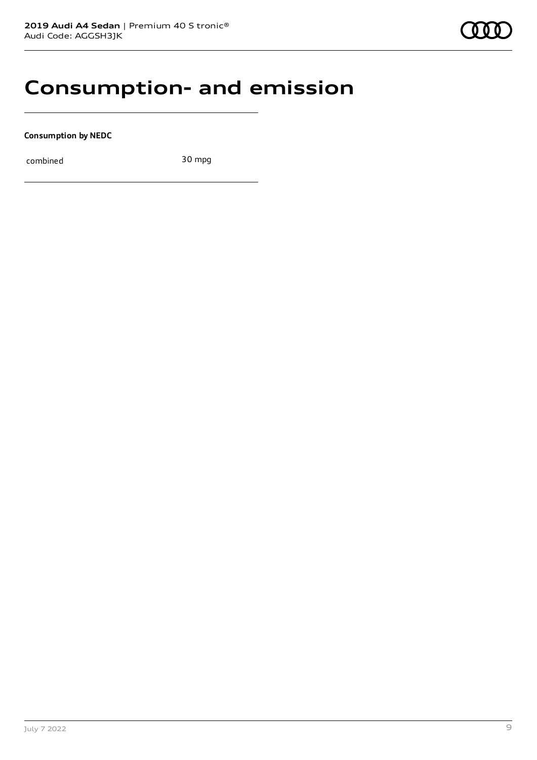### **Consumption- and emission**

**Consumption by NEDC**

combined 30 mpg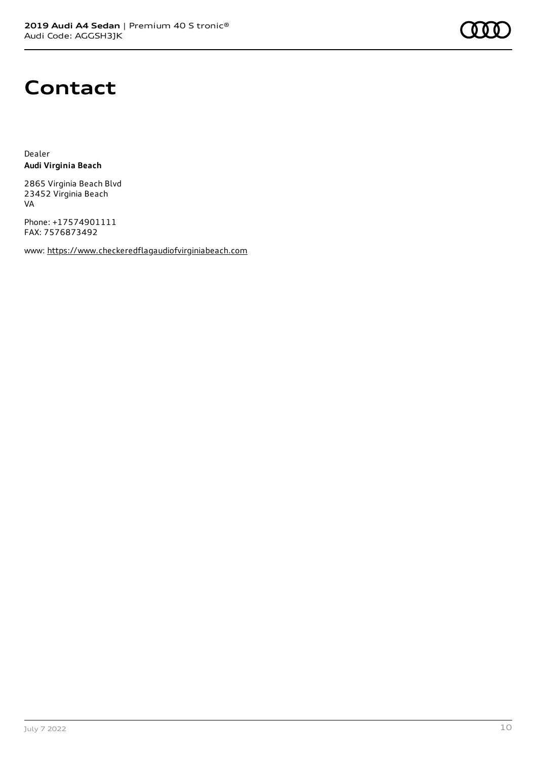

### **Contact**

Dealer **Audi Virginia Beach**

2865 Virginia Beach Blvd 23452 Virginia Beach VA

Phone: +17574901111 FAX: 7576873492

www: [https://www.checkeredflagaudiofvirginiabeach.com](https://www.checkeredflagaudiofvirginiabeach.com/)